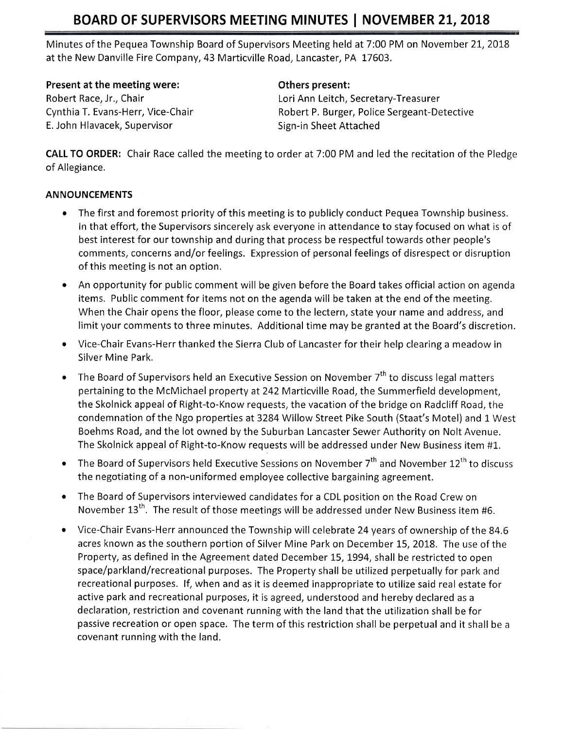Minutes of the Pequea Township Board of Supervisors Meeting held at 7:00 PM on November 21, 2018 at the New Danville Fire Company, 43 Marticville Road, Lancaster, PA 17603.

Present at the meeting were:

Robert Race, Jr., Chair Cynthia T. Evans-Herr, Vice-Chair E. John Hlavacek, Supervisor

#### Others present:

Lori Ann Leitch, Secretary-Treasurer Robert P. Burger, Police Sergeant-Detective Sign-in Sheet Attached

CALL TO ORDER: Chair Race called the meeting to order at 7:00 PM and led the recitation of the Pledge of Allegiance.

### **ANNOUNCEMENTS**

- . The first and foremost priority of this meeting is to publicly conduct Pequea Township business. In that effort, the Supervisors sincerely ask everyone in attendance to stay focused on what is of best interest for our township and during that process be respectful towards other people's comments, concerns and/or feelings. Expression of personal feelings of disrespect or disruption of this meeting is not an option.
- An opportunity for public comment will be given before the Board takes official action on agenda items. Public comment for items not on the agenda will be taken at the end of the meeting. When the Chair opens the floor, please come to the lectern, state your name and address, and limit your comments to three minutes, Additional time may be granted at the Board's discretion.
- o Vice-Chair Evans-Herr thanked the Sierra Club of Lancaster for their help clearing a meadow in Silver Mine Park.
- The Board of Supervisors held an Executive Session on November  $7<sup>th</sup>$  to discuss legal matters pertaining to the McMichael property at242 Marticville Road, the Summerfield development, the Skolnick appeal of Right-to-Know requests, the vacation of the bridge on Radcliff Road, the condemnation of the Ngo properties at 3284 Willow Street Pike South (Staat's Motel) and 1 West Boehms Road, and the lot owned by the Suburban Lancaster Sewer Authority on Nolt Avenue. The Skolnick appeal of Right-to-Know requests will be addressed under New Business item #1.
- The Board of Supervisors held Executive Sessions on November  $7<sup>th</sup>$  and November  $12<sup>th</sup>$  to discuss the negotiating of a non-uniformed employee collective bargaining agreement.
- The Board of Supervisors interviewed candidates for a CDL position on the Road Crew on November  $13^{th}$ . The result of those meetings will be addressed under New Business item #6.
- Vice-Chair Evans-Herr announced the Township will celebrate 24 years of ownership of the 84.6 acres known as the southern portion of Silver Mine Park on December 15, 2018. The use of the Property, as defined in the Agreement dated December 75,1994, shall be restricted to open space/parkland/recreational purposes. The Property shall be utilized perpetually for park and recreational purposes. lf, when and as it is deemed inappropriate to utilize said real estate for active park and recreational purposes, it is agreed, understood and hereby declared as <sup>a</sup> declaration, restriction and covenant running with the land that the utilization shall be for passive recreation or open space. The term of this restriction shall be perpetual and it shall be <sup>a</sup> covenant running with the land.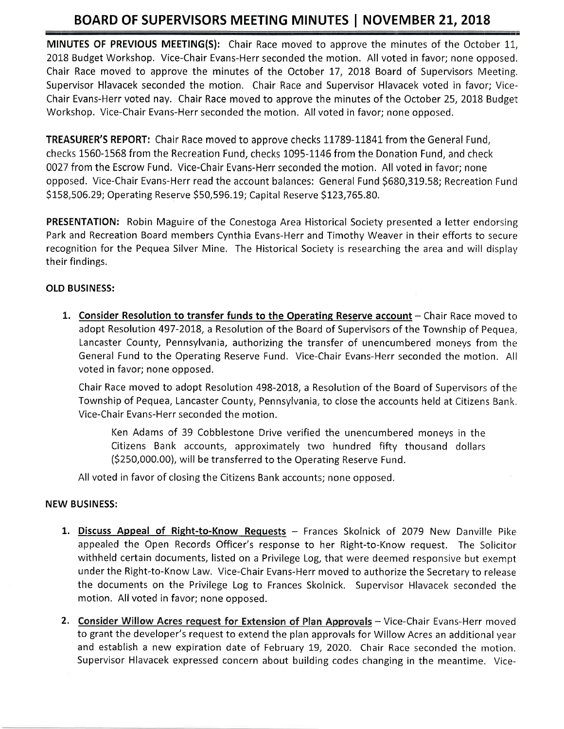MINUTES OF PREVIOUS MEETING(S): Chair Race moved to approve the minutes of the October 11, 20L8 Budget Workshop. Vice-Chair Evans-Herr seconded the motion. All voted in favor; none opposed. Chair Race moved to approve the minutes of the October 17,2018 Board of Supervisors Meeting. Supervisor Hlavacek seconded the motion, Chair Race and Supervisor Hlavacek voted in favor; Vice-Chair Evans-Herr voted nay. Chair Race moved to approve the minutes of the October 25, 2018 Budget Workshop. Vice-Chair Evans-Herr seconded the motion, All voted in favor; none opposed.

TREASURER'S REPORT: Chair Race moved to approve checks 11789-11841 from the General Fund, checks 1560-1568 from the Recreation Fund, checks 1095-1146 from the Donation Fund, and check 0027 from the Escrow Fund. Vice-Chair Evans-Herr seconded the motion. All voted in favor; none opposed. Vice-Chair Evans-Herr read the account balances: General Fund \$680,319.58; Recreation Fund \$158,506.29; Operating Reserve \$50,596.19; Capital Reserve \$123,765.80.

PRESENTATION: Robin Maguire of the Conestoga Area Historical Society presented a letter endorsing Park and Recreation Board members Cynthia Evans-Herr and Timothy Weaver in their efforts to secure recognition for the Pequea Silver Mine. The Historical Society is researching the area and will display their findings.

### OLD BUSINESS:

1. Consider Resolution to transfer funds to the Operating Reserve account – Chair Race moved to adopt Resolution 497-2078, a Resolution of the Board of Supervisors of the Township of Pequea, Lancaster County, Pennsylvania, authorizing the transfer of unencumbered moneys from the General Fund to the Operating Reserve Fund. Vice-Chair Evans-Herr seconded the motion. All voted in favor; none opposed.

Chair Race moved to adopt Resolution 498-2018, a Resolution of the Board of Supervisors of the Township of Pequea, Lancaster County, Pennsylvania, to close the accounts held at Citizens Bank Vice-Chair Evans-Herr seconded the motion.

Ken Adams of 39 Cobblestone Drive verified the unencumbered moneys in the Citizens Bank accounts, approximately two hundred fifty thousand dollars (5250,000.00), will be transferred to the Operating Reserve Fund.

All voted in favor of closing the Citizens Bank accounts; none opposed,

#### NEW BUSINESS:

- 1. Discuss Appeal of Right-to-Know Requests Frances Skolnick of 2079 New Danville Pike appealed the Open Records Officer's response to her Right-to-Know request. The Solicitor withheld certain documents, listed on a Privilege Log, that were deemed responsive but exempt under the Right-to-Know Law. Vice-Chair Evans-Herr moved to authorize the Secretary to release the documents on the Privilege Log to Frances Skolnick. Supervisor Hlavacek seconded the motion. All voted in favor; none opposed.
- 2. Consider Willow Acres request for Extension of Plan Approvals Vice-Chair Evans-Herr moved to grant the developer's request to extend the plan approvals for Willow Acres an additional year and establish a new expiration date of February 19, 2O2O. Chair Race seconded the motion. Supervisor Hlavacek expressed concern about building codes changing in the meantime. Vice-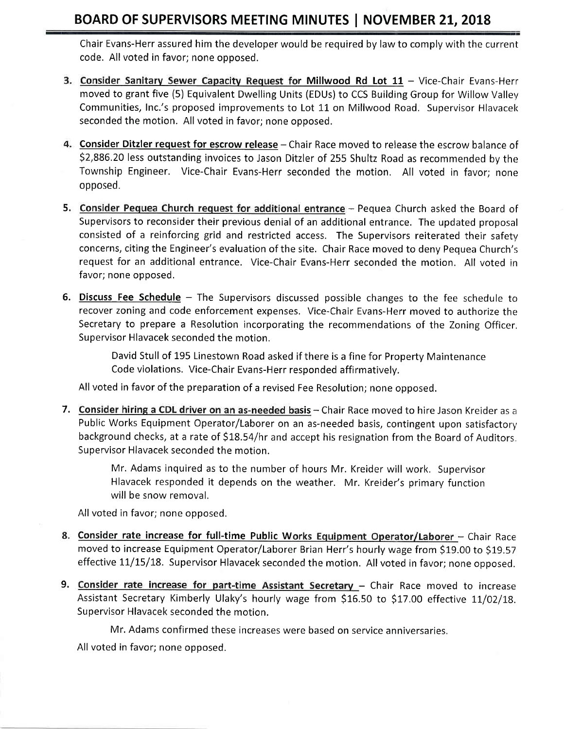Chair Evans-Herr assured him the developer would be required by law to comply with the current code. All voted in favor; none opposed.

- 3. Consider Sanitary Sewer Capacity Request for Millwood Rd Lot 11 Vice-Chair Evans-Herr moved to grant five (5) Equivalent Dwelling Units (EDUs) to CCS Building Group for Willow Vallev Communities, Inc.'s proposed improvements to Lot 11 on Millwood Road. Supervisor Hlavacek seconded the motion. All voted in favor; none opposed.
- 4. Consider Ditzler request for escrow release Chair Race moved to release the escrow balance of 52,886.20 less outstanding invoices to Jason Ditzler of 255 Shultz Road as recommended by the Township Engineer. Vice-Chair Evans-Herr seconded the motion. All voted in favor; none opposed.
- 5. Consider Pequea Church request for additional entrance Pequea Church asked the Board of Supervisors to reconsider their previous denial of an additional entrance. The updated proposal consisted of a reinforcing grid and restricted access. The Supervisors reiterated their safety concerns, citing the Engineer's evaluation of the site. Chair Race moved to deny Pequea Church's request for an additional entrance. Vice-Chair Evans-Herr seconded the motion. All voted in favor; none opposed.
- 6. Discuss Fee Schedule The Supervisors discussed possible changes to the fee schedule to recover zoning and code enforcement expenses. Vice-Chair Evans-Herr moved to authorize the Secretary to prepare a Resolution incorporating the recommendations of the Zoning Officer, Supervisor Hlavacek seconded the motion.

David Stull of 195 Linestown Road asked if there is a fine for Property Maintenance Code violations. Vice-Chair Evans-Herr responded affirmatively.

All voted in favor of the preparation of a revised Fee Resolution; none opposed.

**7. <u>Consider hiring a CDL driver on an as-needed basis</u> –** Chair Race moved to hire Jason Kreider as a Public Works Equipment Operator/Laborer on an as-needed basis, contingent upon satisfactory' background checks, at a rate of \$18.54/hr and accept his resignation from the Board of Auditors. Supervisor Hlavacek seconded the motion.

> Mr. Adams inquired as to the number of hours Mr. Kreider will work. Supervisor Hlavacek responded it depends on the weather. Mr. Kreider's primary function will be snow removal.

All voted in favor; none opposed.

- 8. Consider rate increase for full-time Public Works Equipment Operator/Laborer Chair Race moved to increase Equipment Operator/Laborer Brian Herr's hourly wage from \$19.00 to \$19.57 effective 11/15/18. Supervisor Hlavacek seconded the motion. All voted in favor; none opposed.
- 9. Consider rate increase for part-time Assistant Secretary Chair Race moved to increase Assistant Secretary Kimberly Ulaky's hourly wage from \$16.50 to \$17.00 effective 11/02/18. Supervisor Hlavacek seconded the motion.

Mr. Adams confirmed these increases were based on service anniversaries,

All voted in favor; none opposed.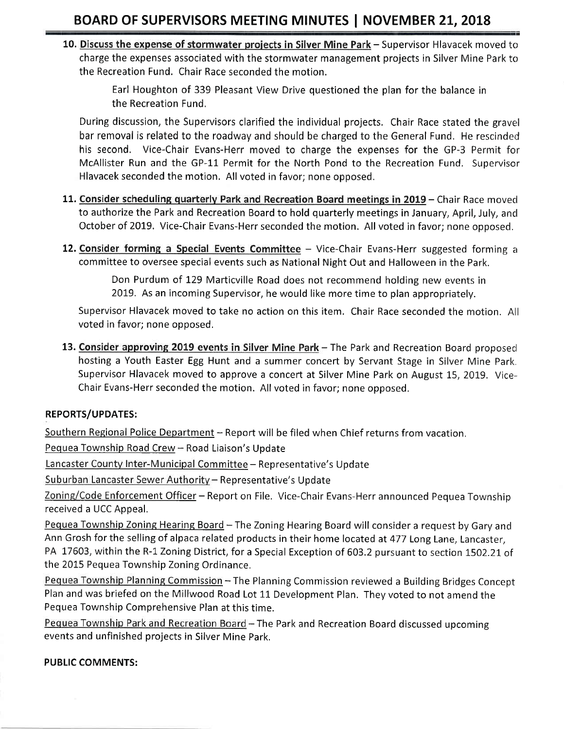10. Discuss the expense of stormwater projects in Silver Mine Park - Supervisor Hlavacek moved to charge the expenses associated with the stormwater management projects in Silver Mine Park to the Recreation Fund. Chair Race seconded the motion.

> Earl Houghton of 339 Pleasant View Drive questioned the plan for the balance in the Recreation Fund,

During discussion, the Supervisors clarified the individual projects. Chair Race stated the gravel bar removal is related to the roadway and should be charged to the General Fund. He rescinded his second. Vice-Chair Evans-Herr moved to charge the expenses for the GP-3 Permit for McAllister Run and the GP-11 Permit for the North Pond to the Recreation Fund. Supervisor Hlavacek seconded the motion, All voted in favor; none opposed.

- 11. Consider scheduling quarterly Park and Recreation Board meetings in 2019 Chair Race moved to authorize the Park and Recreation Board to hold quarterly meetings in January, April, July, ancl October of 2019. Vice-Chair Evans-Herr seconded the motion. All voted in favor; none opposed.
- 12. Consider forming a Special Events Committee  $-$  Vice-Chair Evans-Herr suggested forming a committee to oversee special events such as National Night Out and Halloween in the Park.

Don Purdum of I29 Marticville Road does not recommend holding new events in 2019. As an incoming Supervisor, he would like more time to plan appropriately.

Supervisor Hlavacek moved to take no action on this item. Chair Race seconded the motion. All voted in favor; none opposed.

13. Consider approving 2019 events in Silver Mine Park - The Park and Recreation Board proposed hosting a Youth Easter Egg Hunt and a summer concert by Servant Stage in Silver Mine Park. Supervisor Hlavacek moved to approve a concert at Silver Mine Park on August 15, 2019. Vice-Chair Evans-Herr seconded the motion. All voted in favor; none opposed.

### REPORTS/UPDATES:

Southern Regional Police Department - Report will be filed when Chief returns from vacation.

Pequea Township Road Crew - Road Liaison's Update

Lancaster County Inter-Municipal Committee - Representative's Update

Suburban Lancaster Sewer Authority - Representative's Update

Zoning/Code Enforcement Officer - Report on File. Vice-Chair Evans-Herr announced Pequea Township received a UCC Appeal,

Pequea Township Zoning Hearing Board - The Zoning Hearing Board will consider a request by Gary and Ann Grosh for the selling of alpaca related products in their home located at 477 Long Lane, Lancaster, PA 17603, within the R-1 Zoning District, for a Special Exception of 603.2 pursuant to section 1502.21 of the 2015 Pequea Township Zoning Ordinance,

Pequea Township Planning Commission - The Planning Commission reviewed a Building Bridges Concept Plan and was briefed on the Millwood Road Lot 11 Development Plan. They voted to not amend the Pequea Township Comprehensive Plan at this time.

Pequea Township Park and Recreation Board - The Park and Recreation Board discussed upcoming events and unfinished projects in Silver Mine Park.

### PUBLIC COMMENTS: